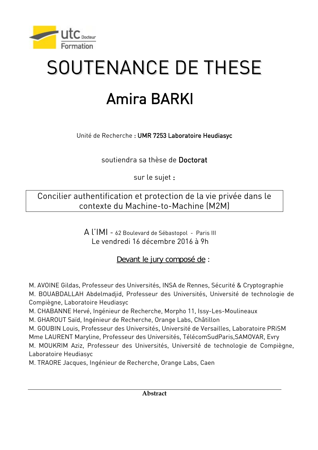

## SOUTENANCE DE THESE

## Amira BARKI

Unité de Recherche : UMR 7253 Laboratoire Heudiasyc

soutiendra sa thèse de Doctorat

sur le sujet :

Concilier authentification et protection de la vie privée dans le contexte du Machine-to-Machine (M2M)

> A l'IMI - 62 Boulevard de Sébastopol - Paris III Le vendredi 16 décembre 2016 à 9h

> > Devant le jury composé de :

M. AVOINE Gildas, Professeur des Universités, INSA de Rennes, Sécurité & Cryptographie

M. BOUABDALLAH Abdelmadjid, Professeur des Universités, Université de technologie de Compiègne, Laboratoire Heudiasyc

M. CHABANNE Hervé, Ingénieur de Recherche, Morpho 11, Issy-Les-Moulineaux

M. GHAROUT Saïd, Ingénieur de Recherche, Orange Labs, Châtillon

M. GOUBIN Louis, Professeur des Universités, Université de Versailles, Laboratoire PRiSM Mme LAURENT Maryline, Professeur des Universités, TélécomSudParis,SAMOVAR, Evry M. MOUKRIM Aziz, Professeur des Universités, Université de technologie de Compiègne, Laboratoire Heudiasyc

M. TRAORE Jacques, Ingénieur de Recherche, Orange Labs, Caen